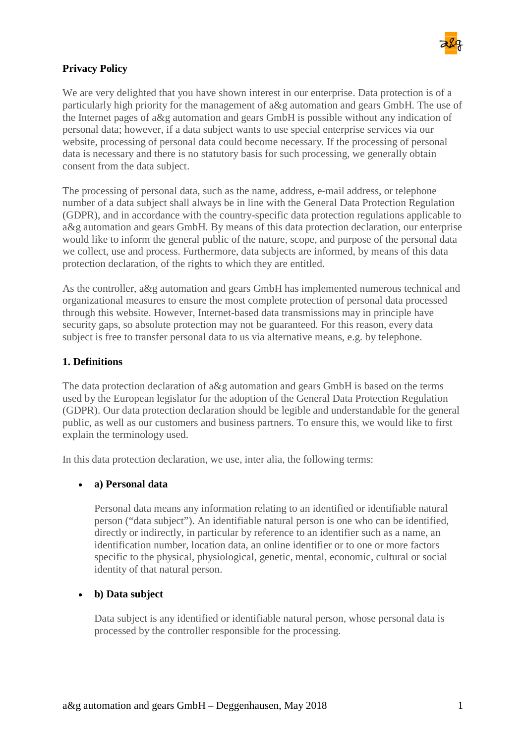

#### **Privacy Policy**

We are very delighted that you have shown interest in our enterprise. Data protection is of a particularly high priority for the management of a&g automation and gears GmbH. The use of the Internet pages of a&g automation and gears GmbH is possible without any indication of personal data; however, if a data subject wants to use special enterprise services via our website, processing of personal data could become necessary. If the processing of personal data is necessary and there is no statutory basis for such processing, we generally obtain consent from the data subject.

The processing of personal data, such as the name, address, e-mail address, or telephone number of a data subject shall always be in line with the General Data Protection Regulation (GDPR), and in accordance with the country-specific data protection regulations applicable to a&g automation and gears GmbH. By means of this data protection declaration, our enterprise would like to inform the general public of the nature, scope, and purpose of the personal data we collect, use and process. Furthermore, data subjects are informed, by means of this data protection declaration, of the rights to which they are entitled.

As the controller, a&g automation and gears GmbH has implemented numerous technical and organizational measures to ensure the most complete protection of personal data processed through this website. However, Internet-based data transmissions may in principle have security gaps, so absolute protection may not be guaranteed. For this reason, every data subject is free to transfer personal data to us via alternative means, e.g. by telephone.

#### **1. Definitions**

The data protection declaration of a&g automation and gears GmbH is based on the terms used by the European legislator for the adoption of the General Data Protection Regulation (GDPR). Our data protection declaration should be legible and understandable for the general public, as well as our customers and business partners. To ensure this, we would like to first explain the terminology used.

In this data protection declaration, we use, inter alia, the following terms:

#### • **a) Personal data**

Personal data means any information relating to an identified or identifiable natural person ("data subject"). An identifiable natural person is one who can be identified, directly or indirectly, in particular by reference to an identifier such as a name, an identification number, location data, an online identifier or to one or more factors specific to the physical, physiological, genetic, mental, economic, cultural or social identity of that natural person.

#### • **b) Data subject**

Data subject is any identified or identifiable natural person, whose personal data is processed by the controller responsible for the processing.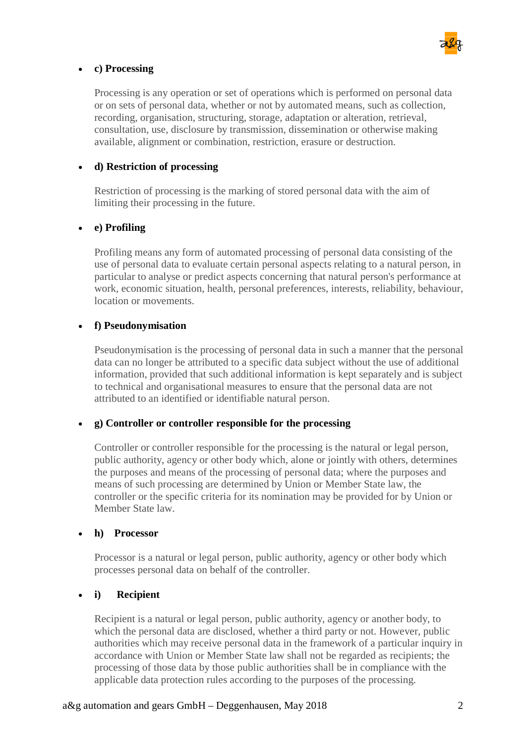

#### • **c) Processing**

Processing is any operation or set of operations which is performed on personal data or on sets of personal data, whether or not by automated means, such as collection, recording, organisation, structuring, storage, adaptation or alteration, retrieval, consultation, use, disclosure by transmission, dissemination or otherwise making available, alignment or combination, restriction, erasure or destruction.

#### • **d) Restriction of processing**

Restriction of processing is the marking of stored personal data with the aim of limiting their processing in the future.

#### • **e) Profiling**

Profiling means any form of automated processing of personal data consisting of the use of personal data to evaluate certain personal aspects relating to a natural person, in particular to analyse or predict aspects concerning that natural person's performance at work, economic situation, health, personal preferences, interests, reliability, behaviour, location or movements.

#### • **f) Pseudonymisation**

Pseudonymisation is the processing of personal data in such a manner that the personal data can no longer be attributed to a specific data subject without the use of additional information, provided that such additional information is kept separately and is subject to technical and organisational measures to ensure that the personal data are not attributed to an identified or identifiable natural person.

#### • **g) Controller or controller responsible for the processing**

Controller or controller responsible for the processing is the natural or legal person, public authority, agency or other body which, alone or jointly with others, determines the purposes and means of the processing of personal data; where the purposes and means of such processing are determined by Union or Member State law, the controller or the specific criteria for its nomination may be provided for by Union or Member State law.

#### • **h) Processor**

Processor is a natural or legal person, public authority, agency or other body which processes personal data on behalf of the controller.

#### • **i) Recipient**

Recipient is a natural or legal person, public authority, agency or another body, to which the personal data are disclosed, whether a third party or not. However, public authorities which may receive personal data in the framework of a particular inquiry in accordance with Union or Member State law shall not be regarded as recipients; the processing of those data by those public authorities shall be in compliance with the applicable data protection rules according to the purposes of the processing.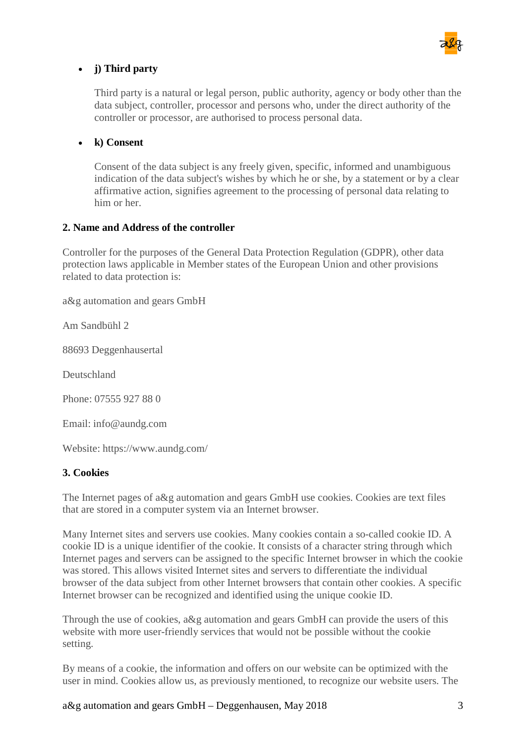

#### • **j) Third party**

Third party is a natural or legal person, public authority, agency or body other than the data subject, controller, processor and persons who, under the direct authority of the controller or processor, are authorised to process personal data.

#### • **k) Consent**

Consent of the data subject is any freely given, specific, informed and unambiguous indication of the data subject's wishes by which he or she, by a statement or by a clear affirmative action, signifies agreement to the processing of personal data relating to him or her.

#### **2. Name and Address of the controller**

Controller for the purposes of the General Data Protection Regulation (GDPR), other data protection laws applicable in Member states of the European Union and other provisions related to data protection is:

a&g automation and gears GmbH

Am Sandbühl 2

88693 Deggenhausertal

Deutschland

Phone: 07555 927 88 0

Email: info@aundg.com

Website: https://www.aundg.com/

#### **3. Cookies**

The Internet pages of a&g automation and gears GmbH use cookies. Cookies are text files that are stored in a computer system via an Internet browser.

Many Internet sites and servers use cookies. Many cookies contain a so-called cookie ID. A cookie ID is a unique identifier of the cookie. It consists of a character string through which Internet pages and servers can be assigned to the specific Internet browser in which the cookie was stored. This allows visited Internet sites and servers to differentiate the individual browser of the data subject from other Internet browsers that contain other cookies. A specific Internet browser can be recognized and identified using the unique cookie ID.

Through the use of cookies, a&g automation and gears GmbH can provide the users of this website with more user-friendly services that would not be possible without the cookie setting.

By means of a cookie, the information and offers on our website can be optimized with the user in mind. Cookies allow us, as previously mentioned, to recognize our website users. The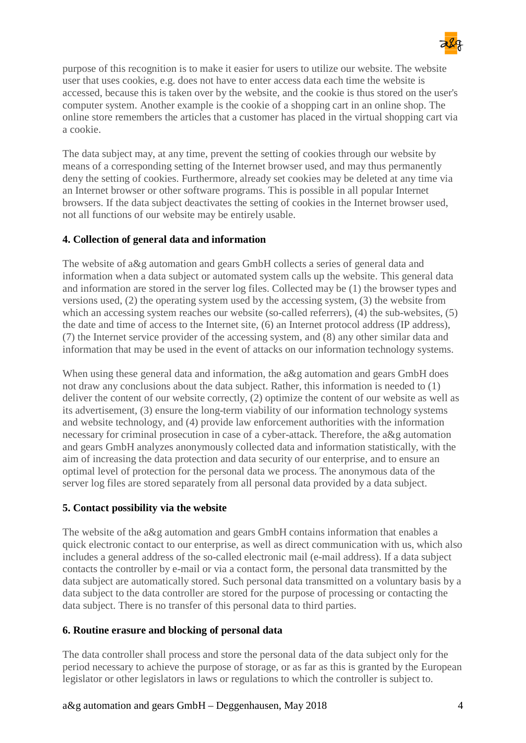

purpose of this recognition is to make it easier for users to utilize our website. The website user that uses cookies, e.g. does not have to enter access data each time the website is accessed, because this is taken over by the website, and the cookie is thus stored on the user's computer system. Another example is the cookie of a shopping cart in an online shop. The online store remembers the articles that a customer has placed in the virtual shopping cart via a cookie.

The data subject may, at any time, prevent the setting of cookies through our website by means of a corresponding setting of the Internet browser used, and may thus permanently deny the setting of cookies. Furthermore, already set cookies may be deleted at any time via an Internet browser or other software programs. This is possible in all popular Internet browsers. If the data subject deactivates the setting of cookies in the Internet browser used, not all functions of our website may be entirely usable.

#### **4. Collection of general data and information**

The website of a&g automation and gears GmbH collects a series of general data and information when a data subject or automated system calls up the website. This general data and information are stored in the server log files. Collected may be (1) the browser types and versions used, (2) the operating system used by the accessing system, (3) the website from which an accessing system reaches our website (so-called referrers), (4) the sub-websites, (5) the date and time of access to the Internet site, (6) an Internet protocol address (IP address), (7) the Internet service provider of the accessing system, and (8) any other similar data and information that may be used in the event of attacks on our information technology systems.

When using these general data and information, the a&g automation and gears GmbH does not draw any conclusions about the data subject. Rather, this information is needed to (1) deliver the content of our website correctly, (2) optimize the content of our website as well as its advertisement, (3) ensure the long-term viability of our information technology systems and website technology, and (4) provide law enforcement authorities with the information necessary for criminal prosecution in case of a cyber-attack. Therefore, the a&g automation and gears GmbH analyzes anonymously collected data and information statistically, with the aim of increasing the data protection and data security of our enterprise, and to ensure an optimal level of protection for the personal data we process. The anonymous data of the server log files are stored separately from all personal data provided by a data subject.

#### **5. Contact possibility via the website**

The website of the a&g automation and gears GmbH contains information that enables a quick electronic contact to our enterprise, as well as direct communication with us, which also includes a general address of the so-called electronic mail (e-mail address). If a data subject contacts the controller by e-mail or via a contact form, the personal data transmitted by the data subject are automatically stored. Such personal data transmitted on a voluntary basis by a data subject to the data controller are stored for the purpose of processing or contacting the data subject. There is no transfer of this personal data to third parties.

#### **6. Routine erasure and blocking of personal data**

The data controller shall process and store the personal data of the data subject only for the period necessary to achieve the purpose of storage, or as far as this is granted by the European legislator or other legislators in laws or regulations to which the controller is subject to.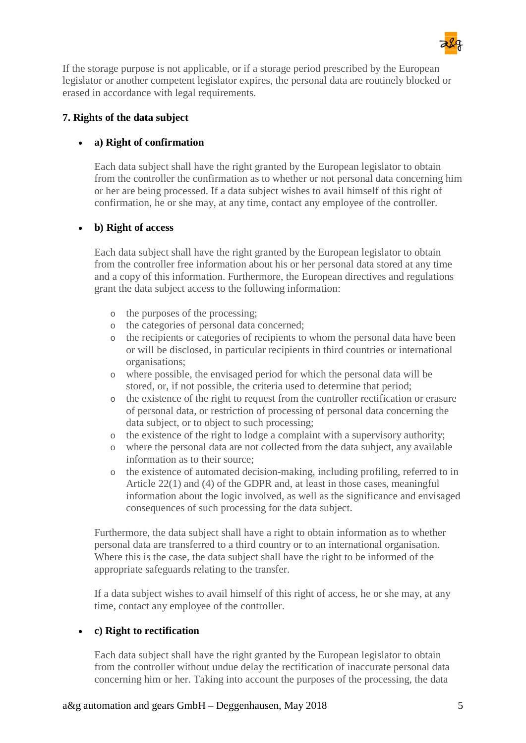

If the storage purpose is not applicable, or if a storage period prescribed by the European legislator or another competent legislator expires, the personal data are routinely blocked or erased in accordance with legal requirements.

#### **7. Rights of the data subject**

#### • **a) Right of confirmation**

Each data subject shall have the right granted by the European legislator to obtain from the controller the confirmation as to whether or not personal data concerning him or her are being processed. If a data subject wishes to avail himself of this right of confirmation, he or she may, at any time, contact any employee of the controller.

#### • **b) Right of access**

Each data subject shall have the right granted by the European legislator to obtain from the controller free information about his or her personal data stored at any time and a copy of this information. Furthermore, the European directives and regulations grant the data subject access to the following information:

- o the purposes of the processing;
- o the categories of personal data concerned;
- o the recipients or categories of recipients to whom the personal data have been or will be disclosed, in particular recipients in third countries or international organisations;
- o where possible, the envisaged period for which the personal data will be stored, or, if not possible, the criteria used to determine that period;
- o the existence of the right to request from the controller rectification or erasure of personal data, or restriction of processing of personal data concerning the data subject, or to object to such processing;
- o the existence of the right to lodge a complaint with a supervisory authority;
- o where the personal data are not collected from the data subject, any available information as to their source;
- o the existence of automated decision-making, including profiling, referred to in Article 22(1) and (4) of the GDPR and, at least in those cases, meaningful information about the logic involved, as well as the significance and envisaged consequences of such processing for the data subject.

Furthermore, the data subject shall have a right to obtain information as to whether personal data are transferred to a third country or to an international organisation. Where this is the case, the data subject shall have the right to be informed of the appropriate safeguards relating to the transfer.

If a data subject wishes to avail himself of this right of access, he or she may, at any time, contact any employee of the controller.

#### • **c) Right to rectification**

Each data subject shall have the right granted by the European legislator to obtain from the controller without undue delay the rectification of inaccurate personal data concerning him or her. Taking into account the purposes of the processing, the data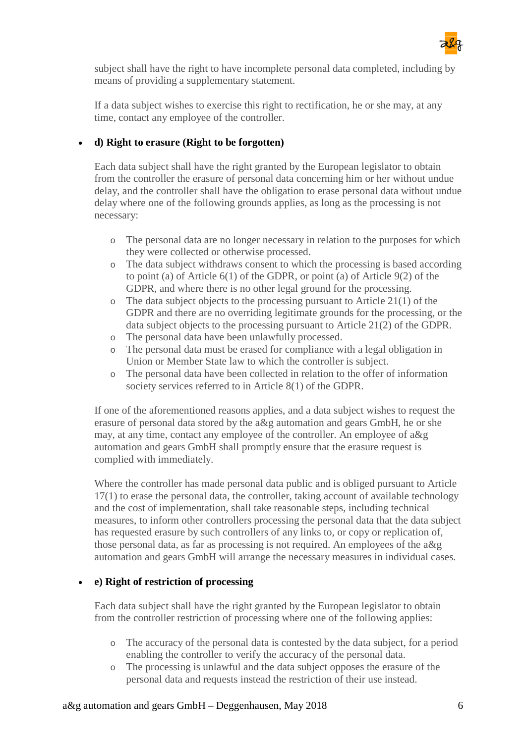

subject shall have the right to have incomplete personal data completed, including by means of providing a supplementary statement.

If a data subject wishes to exercise this right to rectification, he or she may, at any time, contact any employee of the controller.

#### • **d) Right to erasure (Right to be forgotten)**

Each data subject shall have the right granted by the European legislator to obtain from the controller the erasure of personal data concerning him or her without undue delay, and the controller shall have the obligation to erase personal data without undue delay where one of the following grounds applies, as long as the processing is not necessary:

- o The personal data are no longer necessary in relation to the purposes for which they were collected or otherwise processed.
- o The data subject withdraws consent to which the processing is based according to point (a) of Article 6(1) of the GDPR, or point (a) of Article 9(2) of the GDPR, and where there is no other legal ground for the processing.
- o The data subject objects to the processing pursuant to Article 21(1) of the GDPR and there are no overriding legitimate grounds for the processing, or the data subject objects to the processing pursuant to Article 21(2) of the GDPR.
- o The personal data have been unlawfully processed.
- o The personal data must be erased for compliance with a legal obligation in Union or Member State law to which the controller is subject.
- o The personal data have been collected in relation to the offer of information society services referred to in Article 8(1) of the GDPR.

If one of the aforementioned reasons applies, and a data subject wishes to request the erasure of personal data stored by the a&g automation and gears GmbH, he or she may, at any time, contact any employee of the controller. An employee of a&g automation and gears GmbH shall promptly ensure that the erasure request is complied with immediately.

Where the controller has made personal data public and is obliged pursuant to Article 17(1) to erase the personal data, the controller, taking account of available technology and the cost of implementation, shall take reasonable steps, including technical measures, to inform other controllers processing the personal data that the data subject has requested erasure by such controllers of any links to, or copy or replication of, those personal data, as far as processing is not required. An employees of the a&g automation and gears GmbH will arrange the necessary measures in individual cases.

#### • **e) Right of restriction of processing**

Each data subject shall have the right granted by the European legislator to obtain from the controller restriction of processing where one of the following applies:

- o The accuracy of the personal data is contested by the data subject, for a period enabling the controller to verify the accuracy of the personal data.
- o The processing is unlawful and the data subject opposes the erasure of the personal data and requests instead the restriction of their use instead.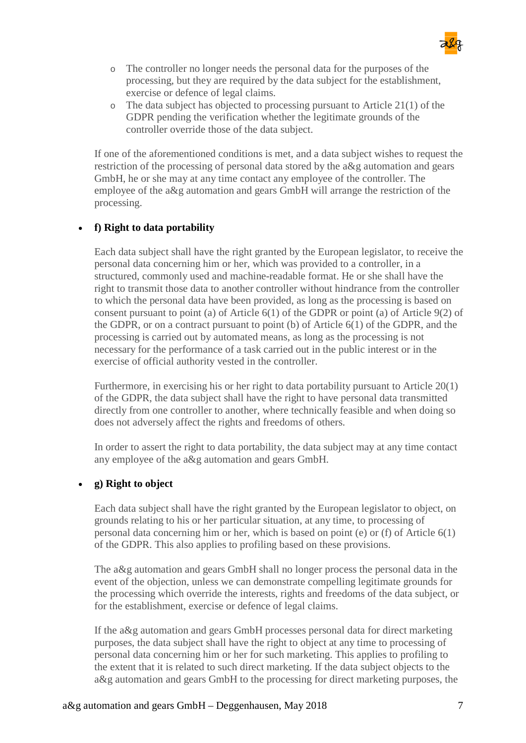

- o The controller no longer needs the personal data for the purposes of the processing, but they are required by the data subject for the establishment, exercise or defence of legal claims.
- o The data subject has objected to processing pursuant to Article 21(1) of the GDPR pending the verification whether the legitimate grounds of the controller override those of the data subject.

If one of the aforementioned conditions is met, and a data subject wishes to request the restriction of the processing of personal data stored by the a&g automation and gears GmbH, he or she may at any time contact any employee of the controller. The employee of the a&g automation and gears GmbH will arrange the restriction of the processing.

#### • **f) Right to data portability**

Each data subject shall have the right granted by the European legislator, to receive the personal data concerning him or her, which was provided to a controller, in a structured, commonly used and machine-readable format. He or she shall have the right to transmit those data to another controller without hindrance from the controller to which the personal data have been provided, as long as the processing is based on consent pursuant to point (a) of Article 6(1) of the GDPR or point (a) of Article 9(2) of the GDPR, or on a contract pursuant to point (b) of Article 6(1) of the GDPR, and the processing is carried out by automated means, as long as the processing is not necessary for the performance of a task carried out in the public interest or in the exercise of official authority vested in the controller.

Furthermore, in exercising his or her right to data portability pursuant to Article 20(1) of the GDPR, the data subject shall have the right to have personal data transmitted directly from one controller to another, where technically feasible and when doing so does not adversely affect the rights and freedoms of others.

In order to assert the right to data portability, the data subject may at any time contact any employee of the a&g automation and gears GmbH.

#### • **g) Right to object**

Each data subject shall have the right granted by the European legislator to object, on grounds relating to his or her particular situation, at any time, to processing of personal data concerning him or her, which is based on point (e) or (f) of Article 6(1) of the GDPR. This also applies to profiling based on these provisions.

The a&g automation and gears GmbH shall no longer process the personal data in the event of the objection, unless we can demonstrate compelling legitimate grounds for the processing which override the interests, rights and freedoms of the data subject, or for the establishment, exercise or defence of legal claims.

If the a&g automation and gears GmbH processes personal data for direct marketing purposes, the data subject shall have the right to object at any time to processing of personal data concerning him or her for such marketing. This applies to profiling to the extent that it is related to such direct marketing. If the data subject objects to the a&g automation and gears GmbH to the processing for direct marketing purposes, the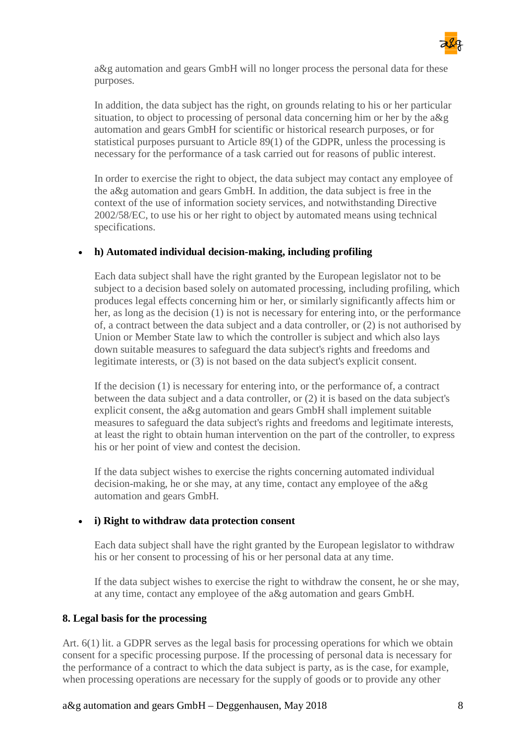

a&g automation and gears GmbH will no longer process the personal data for these purposes.

In addition, the data subject has the right, on grounds relating to his or her particular situation, to object to processing of personal data concerning him or her by the a&g automation and gears GmbH for scientific or historical research purposes, or for statistical purposes pursuant to Article 89(1) of the GDPR, unless the processing is necessary for the performance of a task carried out for reasons of public interest.

In order to exercise the right to object, the data subject may contact any employee of the a&g automation and gears GmbH. In addition, the data subject is free in the context of the use of information society services, and notwithstanding Directive 2002/58/EC, to use his or her right to object by automated means using technical specifications.

#### • **h) Automated individual decision-making, including profiling**

Each data subject shall have the right granted by the European legislator not to be subject to a decision based solely on automated processing, including profiling, which produces legal effects concerning him or her, or similarly significantly affects him or her, as long as the decision (1) is not is necessary for entering into, or the performance of, a contract between the data subject and a data controller, or (2) is not authorised by Union or Member State law to which the controller is subject and which also lays down suitable measures to safeguard the data subject's rights and freedoms and legitimate interests, or (3) is not based on the data subject's explicit consent.

If the decision (1) is necessary for entering into, or the performance of, a contract between the data subject and a data controller, or (2) it is based on the data subject's explicit consent, the a&g automation and gears GmbH shall implement suitable measures to safeguard the data subject's rights and freedoms and legitimate interests, at least the right to obtain human intervention on the part of the controller, to express his or her point of view and contest the decision.

If the data subject wishes to exercise the rights concerning automated individual decision-making, he or she may, at any time, contact any employee of the a&g automation and gears GmbH.

#### • **i) Right to withdraw data protection consent**

Each data subject shall have the right granted by the European legislator to withdraw his or her consent to processing of his or her personal data at any time.

If the data subject wishes to exercise the right to withdraw the consent, he or she may, at any time, contact any employee of the a&g automation and gears GmbH.

#### **8. Legal basis for the processing**

Art. 6(1) lit. a GDPR serves as the legal basis for processing operations for which we obtain consent for a specific processing purpose. If the processing of personal data is necessary for the performance of a contract to which the data subject is party, as is the case, for example, when processing operations are necessary for the supply of goods or to provide any other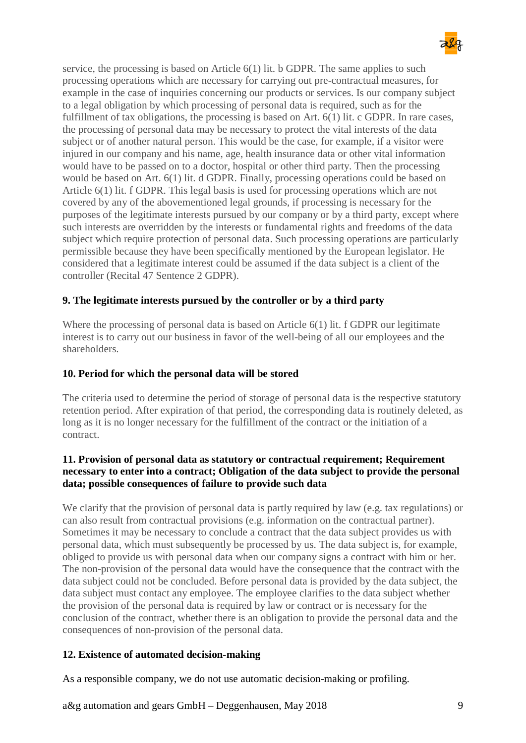

service, the processing is based on Article 6(1) lit. b GDPR. The same applies to such processing operations which are necessary for carrying out pre-contractual measures, for example in the case of inquiries concerning our products or services. Is our company subject to a legal obligation by which processing of personal data is required, such as for the fulfillment of tax obligations, the processing is based on Art. 6(1) lit. c GDPR. In rare cases, the processing of personal data may be necessary to protect the vital interests of the data subject or of another natural person. This would be the case, for example, if a visitor were injured in our company and his name, age, health insurance data or other vital information would have to be passed on to a doctor, hospital or other third party. Then the processing would be based on Art. 6(1) lit. d GDPR. Finally, processing operations could be based on Article 6(1) lit. f GDPR. This legal basis is used for processing operations which are not covered by any of the abovementioned legal grounds, if processing is necessary for the purposes of the legitimate interests pursued by our company or by a third party, except where such interests are overridden by the interests or fundamental rights and freedoms of the data subject which require protection of personal data. Such processing operations are particularly permissible because they have been specifically mentioned by the European legislator. He considered that a legitimate interest could be assumed if the data subject is a client of the controller (Recital 47 Sentence 2 GDPR).

#### **9. The legitimate interests pursued by the controller or by a third party**

Where the processing of personal data is based on Article 6(1) lit. f GDPR our legitimate interest is to carry out our business in favor of the well-being of all our employees and the shareholders.

#### **10. Period for which the personal data will be stored**

The criteria used to determine the period of storage of personal data is the respective statutory retention period. After expiration of that period, the corresponding data is routinely deleted, as long as it is no longer necessary for the fulfillment of the contract or the initiation of a contract.

#### **11. Provision of personal data as statutory or contractual requirement; Requirement necessary to enter into a contract; Obligation of the data subject to provide the personal data; possible consequences of failure to provide such data**

We clarify that the provision of personal data is partly required by law (e.g. tax regulations) or can also result from contractual provisions (e.g. information on the contractual partner). Sometimes it may be necessary to conclude a contract that the data subject provides us with personal data, which must subsequently be processed by us. The data subject is, for example, obliged to provide us with personal data when our company signs a contract with him or her. The non-provision of the personal data would have the consequence that the contract with the data subject could not be concluded. Before personal data is provided by the data subject, the data subject must contact any employee. The employee clarifies to the data subject whether the provision of the personal data is required by law or contract or is necessary for the conclusion of the contract, whether there is an obligation to provide the personal data and the consequences of non-provision of the personal data.

#### **12. Existence of automated decision-making**

As a responsible company, we do not use automatic decision-making or profiling.